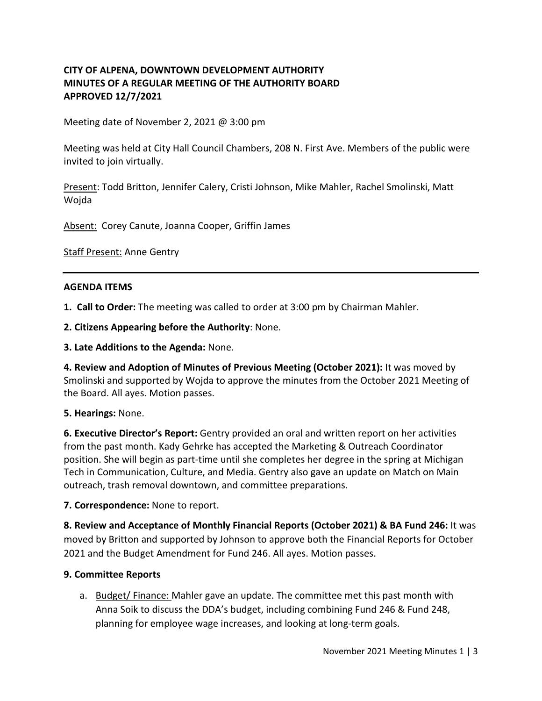# **CITY OF ALPENA, DOWNTOWN DEVELOPMENT AUTHORITY MINUTES OF A REGULAR MEETING OF THE AUTHORITY BOARD APPROVED 12/7/2021**

Meeting date of November 2, 2021 @ 3:00 pm

Meeting was held at City Hall Council Chambers, 208 N. First Ave. Members of the public were invited to join virtually.

Present: Todd Britton, Jennifer Calery, Cristi Johnson, Mike Mahler, Rachel Smolinski, Matt Wojda

Absent: Corey Canute, Joanna Cooper, Griffin James

**Staff Present: Anne Gentry** 

### **AGENDA ITEMS**

**1. Call to Order:** The meeting was called to order at 3:00 pm by Chairman Mahler.

**2. Citizens Appearing before the Authority**: None.

**3. Late Additions to the Agenda:** None.

**4. Review and Adoption of Minutes of Previous Meeting (October 2021):** It was moved by Smolinski and supported by Wojda to approve the minutes from the October 2021 Meeting of the Board. All ayes. Motion passes.

### **5. Hearings:** None.

**6. Executive Director's Report:** Gentry provided an oral and written report on her activities from the past month. Kady Gehrke has accepted the Marketing & Outreach Coordinator position. She will begin as part-time until she completes her degree in the spring at Michigan Tech in Communication, Culture, and Media. Gentry also gave an update on Match on Main outreach, trash removal downtown, and committee preparations.

### **7. Correspondence:** None to report.

**8. Review and Acceptance of Monthly Financial Reports (October 2021) & BA Fund 246:** It was moved by Britton and supported by Johnson to approve both the Financial Reports for October 2021 and the Budget Amendment for Fund 246. All ayes. Motion passes.

### **9. Committee Reports**

a. Budget/ Finance: Mahler gave an update. The committee met this past month with Anna Soik to discuss the DDA's budget, including combining Fund 246 & Fund 248, planning for employee wage increases, and looking at long-term goals.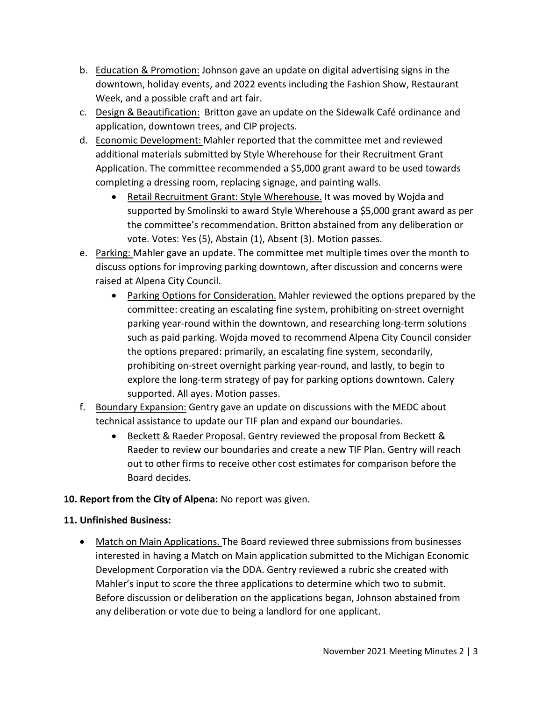- b. Education & Promotion: Johnson gave an update on digital advertising signs in the downtown, holiday events, and 2022 events including the Fashion Show, Restaurant Week, and a possible craft and art fair.
- c. Design & Beautification: Britton gave an update on the Sidewalk Café ordinance and application, downtown trees, and CIP projects.
- d. Economic Development: Mahler reported that the committee met and reviewed additional materials submitted by Style Wherehouse for their Recruitment Grant Application. The committee recommended a \$5,000 grant award to be used towards completing a dressing room, replacing signage, and painting walls.
	- Retail Recruitment Grant: Style Wherehouse. It was moved by Wojda and supported by Smolinski to award Style Wherehouse a \$5,000 grant award as per the committee's recommendation. Britton abstained from any deliberation or vote. Votes: Yes (5), Abstain (1), Absent (3). Motion passes.
- e. Parking: Mahler gave an update. The committee met multiple times over the month to discuss options for improving parking downtown, after discussion and concerns were raised at Alpena City Council.
	- Parking Options for Consideration. Mahler reviewed the options prepared by the committee: creating an escalating fine system, prohibiting on-street overnight parking year-round within the downtown, and researching long-term solutions such as paid parking. Wojda moved to recommend Alpena City Council consider the options prepared: primarily, an escalating fine system, secondarily, prohibiting on-street overnight parking year-round, and lastly, to begin to explore the long-term strategy of pay for parking options downtown. Calery supported. All ayes. Motion passes.
- f. Boundary Expansion: Gentry gave an update on discussions with the MEDC about technical assistance to update our TIF plan and expand our boundaries.
	- Beckett & Raeder Proposal. Gentry reviewed the proposal from Beckett & Raeder to review our boundaries and create a new TIF Plan. Gentry will reach out to other firms to receive other cost estimates for comparison before the Board decides.
- **10. Report from the City of Alpena:** No report was given.

## **11. Unfinished Business:**

• Match on Main Applications. The Board reviewed three submissions from businesses interested in having a Match on Main application submitted to the Michigan Economic Development Corporation via the DDA. Gentry reviewed a rubric she created with Mahler's input to score the three applications to determine which two to submit. Before discussion or deliberation on the applications began, Johnson abstained from any deliberation or vote due to being a landlord for one applicant.